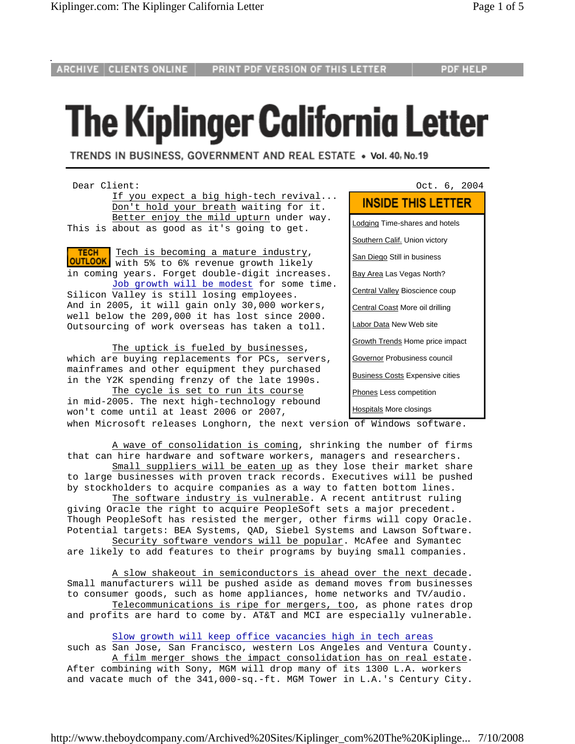**ARCHIVE CLIENTS ONLINE** 

## **The Kiplinger California Letter**

TRENDS IN BUSINESS, GOVERNMENT AND REAL ESTATE . Vol. 40, No. 19

Dear Client:  $0$  Oct. 6, 2004 If you expect a big high-tech revival... Don't hold your breath waiting for it. Better enjoy the mild upturn under way. This is about as good as it's going to get.

 Tech is becoming a mature industry, **TECH OUTLOOK** with 5% to 6% revenue growth likely in coming years. Forget double-digit increases. Job growth will be modest for some time. Silicon Valley is still losing employees. And in 2005, it will gain only 30,000 workers, well below the 209,000 it has lost since 2000. Outsourcing of work overseas has taken a toll.

 The uptick is fueled by businesses, which are buying replacements for PCs, servers, mainframes and other equipment they purchased in the Y2K spending frenzy of the late 1990s.

The cycle is set to run its course in mid-2005. The next high-technology rebound won't come until at least 2006 or 2007, Hospitals More closings when Microsoft releases Longhorn, the next version of Windows software.

## **INSIDE THIS LETTER**

**Lodging Time-shares and hotels**  Southern Calif. Union victory San Diego Still in business Bay Area Las Vegas North? Central Valley Bioscience coup Central Coast More oil drilling Labor Data New Web site Growth Trends Home price impact Governor Probusiness council Business Costs Expensive cities Phones Less competition

 A wave of consolidation is coming, shrinking the number of firms that can hire hardware and software workers, managers and researchers.

Small suppliers will be eaten up as they lose their market share to large businesses with proven track records. Executives will be pushed by stockholders to acquire companies as a way to fatten bottom lines.

 The software industry is vulnerable. A recent antitrust ruling giving Oracle the right to acquire PeopleSoft sets a major precedent. Though PeopleSoft has resisted the merger, other firms will copy Oracle. Potential targets: BEA Systems, QAD, Siebel Systems and Lawson Software. Security software vendors will be popular. McAfee and Symantec

are likely to add features to their programs by buying small companies.

 A slow shakeout in semiconductors is ahead over the next decade. Small manufacturers will be pushed aside as demand moves from businesses to consumer goods, such as home appliances, home networks and TV/audio. Telecommunications is ripe for mergers, too, as phone rates drop

and profits are hard to come by. AT&T and MCI are especially vulnerable.

Slow growth will keep office vacancies high in tech areas

such as San Jose, San Francisco, western Los Angeles and Ventura County. A film merger shows the impact consolidation has on real estate. After combining with Sony, MGM will drop many of its 1300 L.A. workers and vacate much of the 341,000-sq.-ft. MGM Tower in L.A.'s Century City.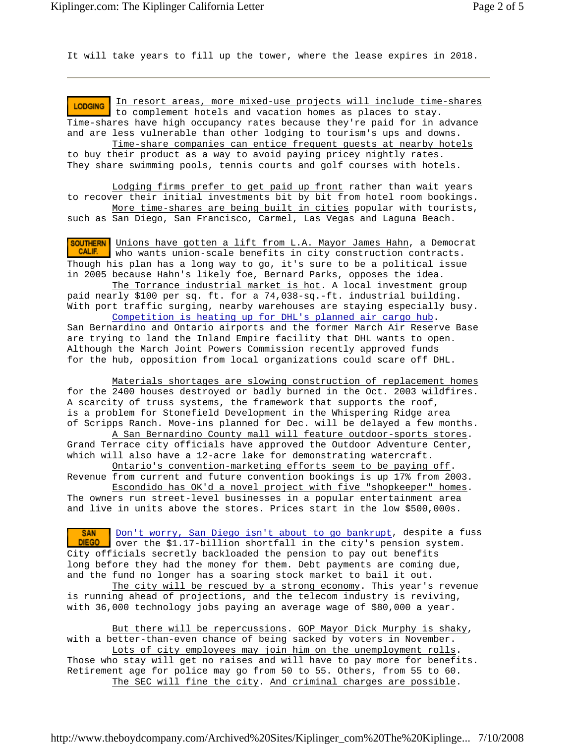It will take years to fill up the tower, where the lease expires in 2018.

 In resort areas, more mixed-use projects will include time-shares **LODGING**  to complement hotels and vacation homes as places to stay. Time-shares have high occupancy rates because they're paid for in advance and are less vulnerable than other lodging to tourism's ups and downs.

 Time-share companies can entice frequent guests at nearby hotels to buy their product as a way to avoid paying pricey nightly rates. They share swimming pools, tennis courts and golf courses with hotels.

 Lodging firms prefer to get paid up front rather than wait years to recover their initial investments bit by bit from hotel room bookings. More time-shares are being built in cities popular with tourists,

such as San Diego, San Francisco, Carmel, Las Vegas and Laguna Beach.

**SOUTHERN** Unions have gotten a lift from L.A. Mayor James Hahn, a Democrat CALIF. who wants union-scale benefits in city construction contracts. Though his plan has a long way to go, it's sure to be a political issue in 2005 because Hahn's likely foe, Bernard Parks, opposes the idea.

 The Torrance industrial market is hot. A local investment group paid nearly \$100 per sq. ft. for a 74,038-sq.-ft. industrial building. With port traffic surging, nearby warehouses are staying especially busy.

 Competition is heating up for DHL's planned air cargo hub. San Bernardino and Ontario airports and the former March Air Reserve Base are trying to land the Inland Empire facility that DHL wants to open. Although the March Joint Powers Commission recently approved funds for the hub, opposition from local organizations could scare off DHL.

 Materials shortages are slowing construction of replacement homes for the 2400 houses destroyed or badly burned in the Oct. 2003 wildfires. A scarcity of truss systems, the framework that supports the roof, is a problem for Stonefield Development in the Whispering Ridge area of Scripps Ranch. Move-ins planned for Dec. will be delayed a few months.

 A San Bernardino County mall will feature outdoor-sports stores. Grand Terrace city officials have approved the Outdoor Adventure Center, which will also have a 12-acre lake for demonstrating watercraft.

 Ontario's convention-marketing efforts seem to be paying off. Revenue from current and future convention bookings is up 17% from 2003.

 Escondido has OK'd a novel project with five "shopkeeper" homes. The owners run street-level businesses in a popular entertainment area and live in units above the stores. Prices start in the low \$500,000s.

Don't worry, San Diego isn't about to go bankrupt, despite a fuss **SAN**  over the \$1.17-billion shortfall in the city's pension system. **DIEGO** City officials secretly backloaded the pension to pay out benefits long before they had the money for them. Debt payments are coming due, and the fund no longer has a soaring stock market to bail it out.

The city will be rescued by a strong economy. This year's revenue is running ahead of projections, and the telecom industry is reviving, with 36,000 technology jobs paying an average wage of \$80,000 a year.

 But there will be repercussions. GOP Mayor Dick Murphy is shaky, with a better-than-even chance of being sacked by voters in November. Lots of city employees may join him on the unemployment rolls. Those who stay will get no raises and will have to pay more for benefits. Retirement age for police may go from 50 to 55. Others, from 55 to 60. The SEC will fine the city. And criminal charges are possible.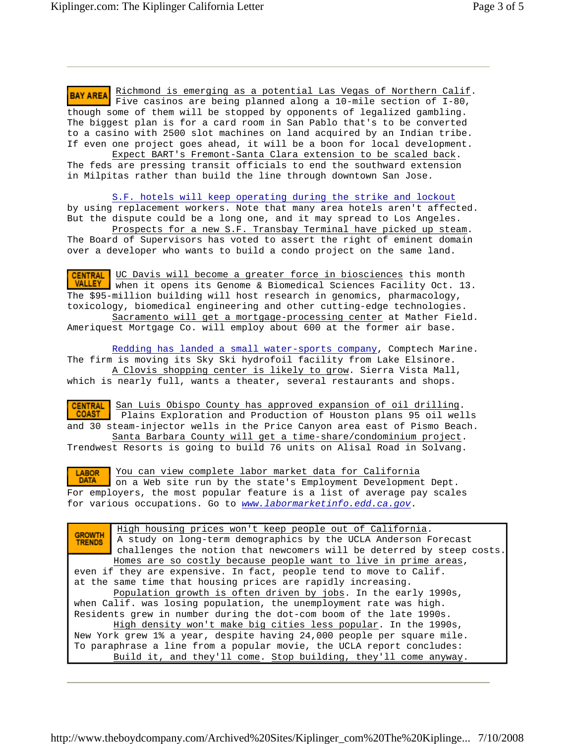**BAY AREA** Richmond is emerging as a potential Las Vegas of Northern Calif. Five casinos are being planned along a 10-mile section of I-80, though some of them will be stopped by opponents of legalized gambling. The biggest plan is for a card room in San Pablo that's to be converted to a casino with 2500 slot machines on land acquired by an Indian tribe. If even one project goes ahead, it will be a boon for local development.

 Expect BART's Fremont-Santa Clara extension to be scaled back. The feds are pressing transit officials to end the southward extension in Milpitas rather than build the line through downtown San Jose.

 S.F. hotels will keep operating during the strike and lockout by using replacement workers. Note that many area hotels aren't affected. But the dispute could be a long one, and it may spread to Los Angeles.

 Prospects for a new S.F. Transbay Terminal have picked up steam. The Board of Supervisors has voted to assert the right of eminent domain over a developer who wants to build a condo project on the same land.

**CENTRAL** UC Davis will become a greater force in biosciences this month VALLEY when it opens its Genome & Biomedical Sciences Facility Oct. 13. The \$95-million building will host research in genomics, pharmacology, toxicology, biomedical engineering and other cutting-edge technologies. Sacramento will get a mortgage-processing center at Mather Field. Ameriquest Mortgage Co. will employ about 600 at the former air base.

 Redding has landed a small water-sports company, Comptech Marine. The firm is moving its Sky Ski hydrofoil facility from Lake Elsinore. A Clovis shopping center is likely to grow. Sierra Vista Mall, which is nearly full, wants a theater, several restaurants and shops.

**CENTRAL** San Luis Obispo County has approved expansion of oil drilling. Plains Exploration and Production of Houston plans 95 oil wells and 30 steam-injector wells in the Price Canyon area east of Pismo Beach. Santa Barbara County will get a time-share/condominium project.

Trendwest Resorts is going to build 76 units on Alisal Road in Solvang.

**LABOR**  You can view complete labor market data for California **DATA**  on a Web site run by the state's Employment Development Dept. For employers, the most popular feature is a list of average pay scales for various occupations. Go to *www.labormarketinfo.edd.ca.gov*.

 High housing prices won't keep people out of California. **GROWTH**  A study on long-term demographics by the UCLA Anderson Forecast **TRENDS**  challenges the notion that newcomers will be deterred by steep costs. Homes are so costly because people want to live in prime areas, even if they are expensive. In fact, people tend to move to Calif. at the same time that housing prices are rapidly increasing. Population growth is often driven by jobs. In the early 1990s, when Calif. was losing population, the unemployment rate was high. Residents grew in number during the dot-com boom of the late 1990s. High density won't make big cities less popular. In the 1990s, New York grew 1% a year, despite having 24,000 people per square mile. To paraphrase a line from a popular movie, the UCLA report concludes: Build it, and they'll come. Stop building, they'll come anyway.